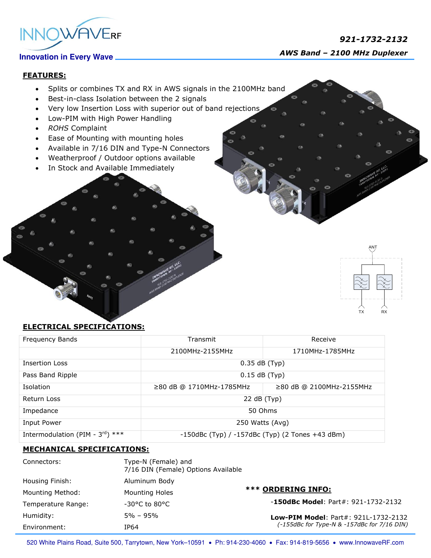

# *921-1732-2132 AWS Band – 2100 MHz Duplexer*

# **FEATURES:**

- Splits or combines TX and RX in AWS signals in the 2100MHz band
- Best-in-class Isolation between the 2 signals
- Very low Insertion Loss with superior out of band rejections
- Low-PIM with High Power Handling
- *ROHS* Complaint
- Ease of Mounting with mounting holes
- Available in 7/16 DIN and Type-N Connectors
- Weatherproof / Outdoor options available
- In Stock and Available Immediately



## **ELECTRICAL SPECIFICATIONS:**

| Frequency Bands                              | Transmit                                              | Receive                  |
|----------------------------------------------|-------------------------------------------------------|--------------------------|
|                                              | 2100MHz-2155MHz                                       | 1710MHz-1785MHz          |
| <b>Insertion Loss</b>                        | $0.35$ dB (Typ)                                       |                          |
| Pass Band Ripple                             | $0.15$ dB (Typ)                                       |                          |
| <b>Isolation</b>                             | ≥80 dB @ 1710MHz-1785MHz                              | ≥80 dB @ 2100MHz-2155MHz |
| Return Loss                                  | 22 dB (Typ)                                           |                          |
| Impedance                                    | 50 Ohms                                               |                          |
| Input Power                                  | 250 Watts (Avg)                                       |                          |
| Intermodulation (PIM - $3^{\text{rd}}$ ) *** | $-150$ dBc (Typ) / $-157$ dBc (Typ) (2 Tones +43 dBm) |                          |

### **MECHANICAL SPECIFICATIONS:**

| Connectors:        | Type-N (Female) and<br>7/16 DIN (Female) Options Available |                                             |
|--------------------|------------------------------------------------------------|---------------------------------------------|
| Housing Finish:    | Aluminum Body                                              |                                             |
| Mounting Method:   | <b>Mounting Holes</b>                                      | <b>*** ORDERING INFO:</b>                   |
| Temperature Range: | $-30^{\circ}$ C to 80 $^{\circ}$ C                         | $-150$ dBc Model: Part#: 921-1732-2132      |
| Humidity:          | $5\% - 95\%$                                               | Low-PIM Model: Part#: 921L-1732-2132        |
| Environment:       | IP64                                                       | (-155dBc for Type-N & -157dBc for 7/16 DIN) |

520 White Plains Road, Suite 500, Tarrytown, New York-10591 . Ph: 914-230-4060 . Fax: 914-819-5656 . www.InnowaveRF.com